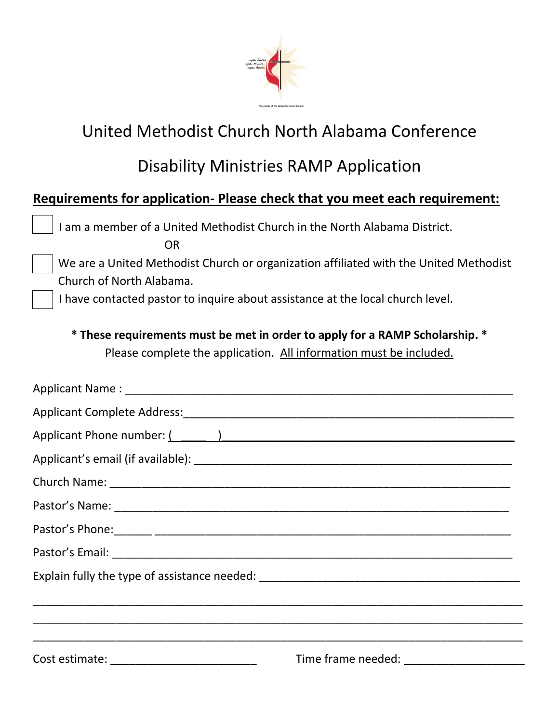

## United Methodist Church North Alabama Conference

## Disability Ministries RAMP Application

## **Requirements for application- Please check that you meet each requirement:**

I am a member of a United Methodist Church in the North Alabama District.

OR

We are a United Methodist Church or organization affiliated with the United Methodist Church of North Alabama.

I have contacted pastor to inquire about assistance at the local church level.

**\* These requirements must be met in order to apply for a RAMP Scholarship. \*** Please complete the application. All information must be included.

| Applicant Phone number: (All Contract Contract Contract Contract Contract Contract Contract Contract Contract Contract Contract Contract Contract Contract Contract Contract Contract Contract Contract Contract Contract Cont |  |
|--------------------------------------------------------------------------------------------------------------------------------------------------------------------------------------------------------------------------------|--|
|                                                                                                                                                                                                                                |  |
|                                                                                                                                                                                                                                |  |
|                                                                                                                                                                                                                                |  |
|                                                                                                                                                                                                                                |  |
|                                                                                                                                                                                                                                |  |
|                                                                                                                                                                                                                                |  |
| ,我们也不能在这里的时候,我们也不能在这里的时候,我们也不能会在这里,我们也不能会在这里,我们也不能会在这里的时候,我们也不能会不能会不能会。""我们的是我们,                                                                                                                                               |  |
|                                                                                                                                                                                                                                |  |
| Cost estimate: _____________________________                                                                                                                                                                                   |  |